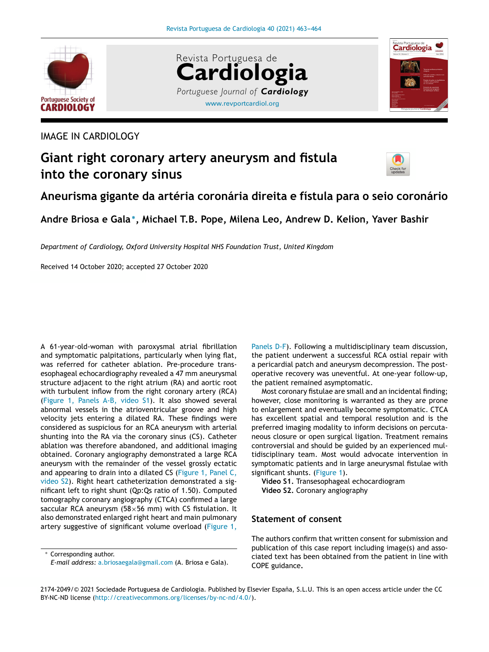





## IMAGE IN CARDIOLOGY

# **Giant right coronary artery aneurysm and fistula into the coronary sinus**



# **Aneurisma gigante da artéria coronária direita e fístula para o seio coronário**

**Andre Briosa e Gala** <sup>∗</sup> **, Michael T.B. Pope, Milena Leo, Andrew D. Kelion, Yaver Bashir**

*Department of Cardiology, Oxford University Hospital NHS Foundation Trust, United Kingdom*

Received 14 October 2020; accepted 27 October 2020

A 61-year-old-woman with paroxysmal atrial fibrillation and symptomatic palpitations, particularly when lying flat, was referred for catheter ablation. Pre-procedure transesophageal echocardiography revealed a 47 mm aneurysmal structure adjacent to the right atrium (RA) and aortic root with turbulent inflow from the right coronary artery (RCA) (Figure 1, Panels A-B, video S1). It also showed several abnormal vessels in the atrioventricular groove and high velocity jets entering a dilated RA. These findings were considered as suspicious for an RCA aneurysm with arterial shunting into the RA via the coronary sinus (CS). Catheter ablation was therefore abandoned, and additional imaging obtained. Coronary angiography demonstrated a large RCA aneurysm with the remainder of the vessel grossly ectatic and appearing to drain into a dilated CS (Figure 1, Panel C, video S2). Right heart catheterization demonstrated a significant left to right shunt (Qp:Qs ratio of 1.50). Computed tomography coronary angiography (CTCA) confirmed a large saccular RCA aneurysm ( $58\times56$  mm) with CS fistulation. It also demonstrated enlarged right heart and main pulmonary artery suggestive of significant volume overload (Figure 1,

<sup>∗</sup> Corresponding author. *E-mail address:* a.briosaegala@gmail.com (A. Briosa e Gala).

Panels D-F). Following a multidisciplinary team discussion, the patient underwent a successful RCA ostial repair with a pericardial patch and aneurysm decompression. The postoperative recovery was uneventful. At one-year follow-up, the patient remained asymptomatic.

Most coronary fistulae are small and an incidental finding; however, close monitoring is warranted as they are prone to enlargement and eventually become symptomatic. CTCA has excellent spatial and temporal resolution and is the preferred imaging modality to inform decisions on percutaneous closure or open surgical ligation. Treatment remains controversial and should be guided by an experienced multidisciplinary team. Most would advocate intervention in symptomatic patients and in large aneurysmal fistulae with significant shunts. (Figure 1).

**Video S1.** Transesophageal echocardiogram **Video S2.** Coronary angiography

#### **Statement of consent**

The authors confirm that written consent for submission and publication of this case report including image(s) and associated text has been obtained from the patient in line with COPE guidance**.**

2174-2049/© 2021 Sociedade Portuguesa de Cardiologia. Published by Elsevier España, S.L.U. This is an open access article under the CC BY-NC-ND license (http://creativecommons.org/licenses/by-nc-nd/4.0/).